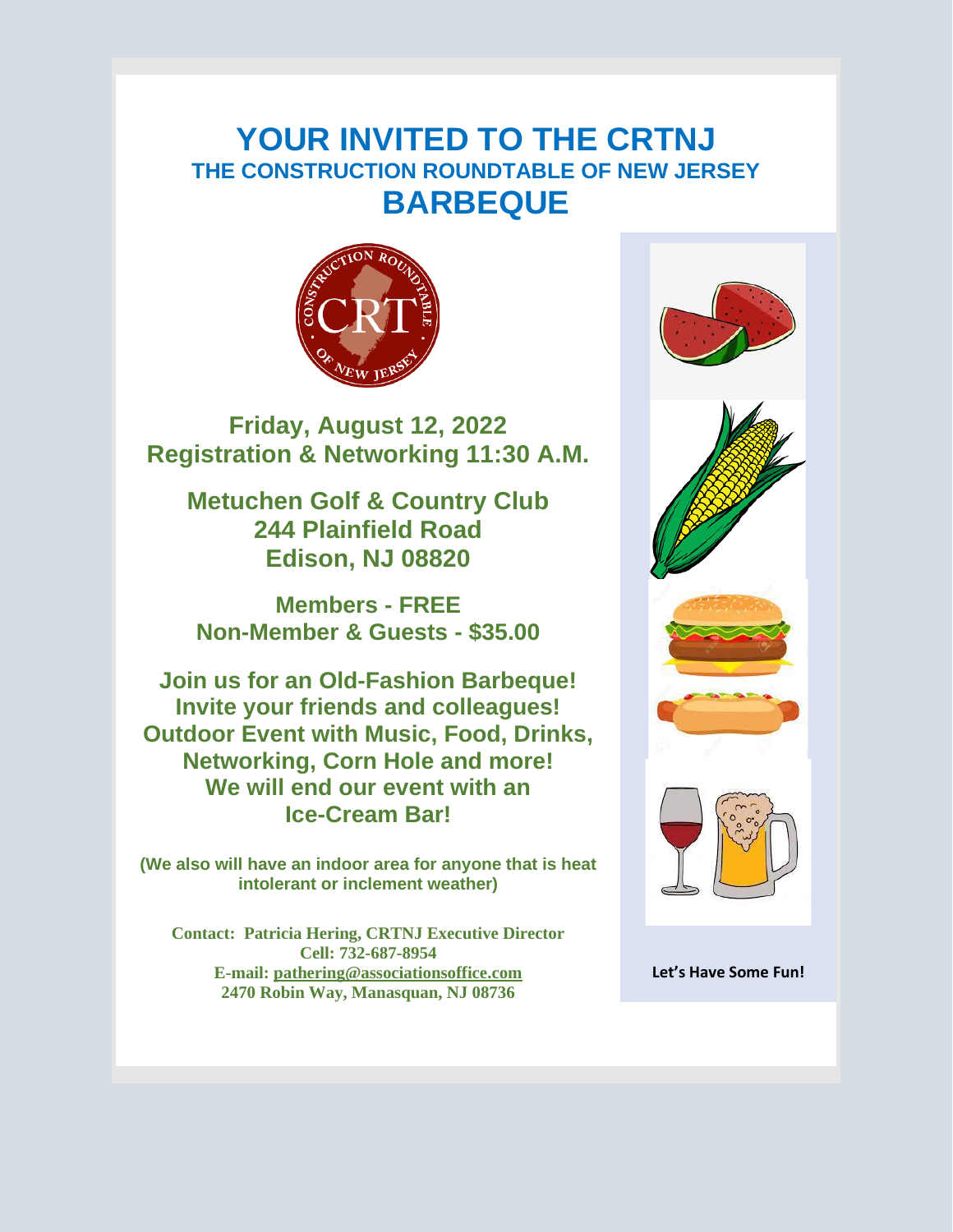## **YOUR INVITED TO THE CRTNJ THE CONSTRUCTION ROUNDTABLE OF NEW JERSEY BARBEQUE**



**Friday, August 12, 2022 Registration & Networking 11:30 A.M.** 

**Metuchen Golf & Country Club 244 Plainfield Road Edison, NJ 08820**

**Members - FREE Non-Member & Guests - \$35.00**

**Join us for an Old-Fashion Barbeque! Invite your friends and colleagues! Outdoor Event with Music, Food, Drinks, Networking, Corn Hole and more! We will end our event with an Ice-Cream Bar!**

**(We also will have an indoor area for anyone that is heat intolerant or inclement weather)**

**Contact: Patricia Hering, CRTNJ Executive Director Cell: 732-687-8954 E-mail: [pathering@associationsoffice.com](mailto:pathering@associationsoffice.com) 2470 Robin Way, Manasquan, NJ 08736**



**Let's Have Some Fun!**